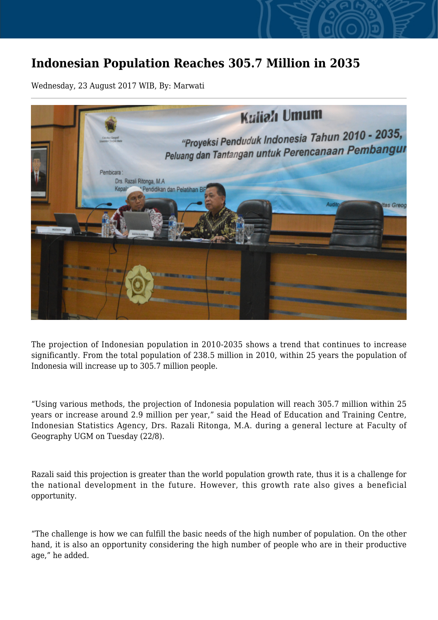## **Indonesian Population Reaches 305.7 Million in 2035**

Wednesday, 23 August 2017 WIB, By: Marwati



The projection of Indonesian population in 2010-2035 shows a trend that continues to increase significantly. From the total population of 238.5 million in 2010, within 25 years the population of Indonesia will increase up to 305.7 million people.

"Using various methods, the projection of Indonesia population will reach 305.7 million within 25 years or increase around 2.9 million per year," said the Head of Education and Training Centre, Indonesian Statistics Agency, Drs. Razali Ritonga, M.A. during a general lecture at Faculty of Geography UGM on Tuesday (22/8).

Razali said this projection is greater than the world population growth rate, thus it is a challenge for the national development in the future. However, this growth rate also gives a beneficial opportunity.

"The challenge is how we can fulfill the basic needs of the high number of population. On the other hand, it is also an opportunity considering the high number of people who are in their productive age," he added.